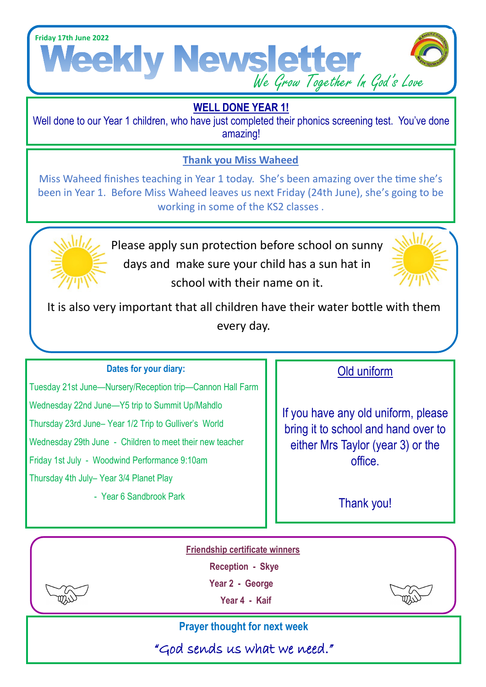

### **WELL DONE YEAR 1!**

Well done to our Year 1 children, who have just completed their phonics screening test. You've done amazing!

#### **Thank you Miss Waheed**

Miss Waheed finishes teaching in Year 1 today. She's been amazing over the time she's been in Year 1. Before Miss Waheed leaves us next Friday (24th June), she's going to be working in some of the KS2 classes .



Please apply sun protection before school on sunny days and make sure your child has a sun hat in school with their name on it.



It is also very important that all children have their water bottle with them every day.

#### **Dates for your diary:**

Tuesday 21st June—Nursery/Reception trip—Cannon Hall Farm Wednesday 22nd June—Y5 trip to Summit Up/Mahdlo Thursday 23rd June– Year 1/2 Trip to Gulliver's World Wednesday 29th June - Children to meet their new teacher Friday 1st July - Woodwind Performance 9:10am Thursday 4th July– Year 3/4 Planet Play

- Year 6 Sandbrook Park

#### Old uniform

If you have any old uniform, please bring it to school and hand over to either Mrs Taylor (year 3) or the office.

Thank you!